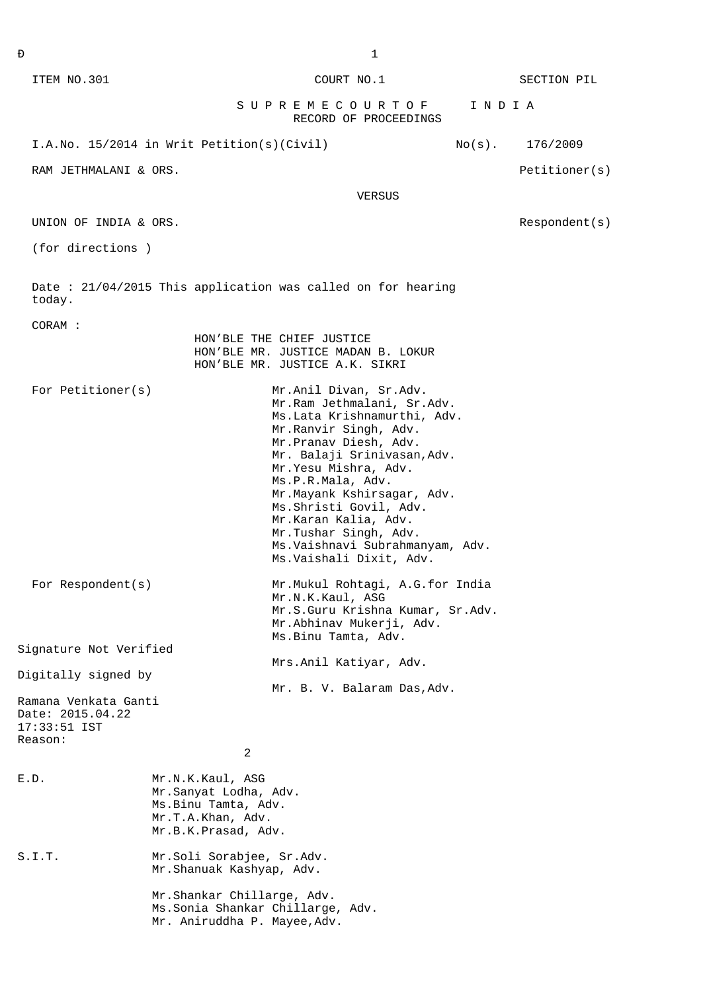|                                                                                            |                                                                                                                                                                                                                                                                                                                                                                                             | SUPREMECOURTOF                                                                                                                              |        | INDIA     |               |
|--------------------------------------------------------------------------------------------|---------------------------------------------------------------------------------------------------------------------------------------------------------------------------------------------------------------------------------------------------------------------------------------------------------------------------------------------------------------------------------------------|---------------------------------------------------------------------------------------------------------------------------------------------|--------|-----------|---------------|
|                                                                                            |                                                                                                                                                                                                                                                                                                                                                                                             | RECORD OF PROCEEDINGS                                                                                                                       |        |           |               |
|                                                                                            | I.A.No. 15/2014 in Writ Petition(s)(Civil)                                                                                                                                                                                                                                                                                                                                                  |                                                                                                                                             |        | $No(s)$ . | 176/2009      |
| RAM JETHMALANI & ORS.                                                                      |                                                                                                                                                                                                                                                                                                                                                                                             |                                                                                                                                             |        |           | Petitioner(s) |
|                                                                                            |                                                                                                                                                                                                                                                                                                                                                                                             |                                                                                                                                             | VERSUS |           |               |
| UNION OF INDIA & ORS.                                                                      |                                                                                                                                                                                                                                                                                                                                                                                             |                                                                                                                                             |        |           | Respondent(s) |
| (for directions)                                                                           |                                                                                                                                                                                                                                                                                                                                                                                             |                                                                                                                                             |        |           |               |
| today.                                                                                     | Date: 21/04/2015 This application was called on for hearing                                                                                                                                                                                                                                                                                                                                 |                                                                                                                                             |        |           |               |
| CORAM :                                                                                    |                                                                                                                                                                                                                                                                                                                                                                                             | HON'BLE THE CHIEF JUSTICE<br>HON'BLE MR. JUSTICE MADAN B. LOKUR<br>HON'BLE MR. JUSTICE A.K. SIKRI                                           |        |           |               |
| For Petitioner(s)                                                                          | Mr.Anil Divan, Sr.Adv.<br>Mr.Ram Jethmalani, Sr.Adv.<br>Ms.Lata Krishnamurthi, Adv.<br>Mr.Ranvir Singh, Adv.<br>Mr.Pranav Diesh, Adv.<br>Mr. Balaji Srinivasan, Adv.<br>Mr. Yesu Mishra, Adv.<br>Ms.P.R.Mala, Adv.<br>Mr.Mayank Kshirsagar, Adv.<br>Ms. Shristi Govil, Adv.<br>Mr.Karan Kalia, Adv.<br>Mr.Tushar Singh, Adv.<br>Ms.Vaishnavi Subrahmanyam, Adv.<br>Ms. Vaishali Dixit, Adv. |                                                                                                                                             |        |           |               |
| For $Respondent(s)$                                                                        |                                                                                                                                                                                                                                                                                                                                                                                             | Mr.Mukul Rohtagi, A.G.for India<br>Mr.N.K.Kaul, ASG<br>Mr.S.Guru Krishna Kumar, Sr.Adv.<br>Mr.Abhinav Mukerji, Adv.<br>Ms. Binu Tamta, Adv. |        |           |               |
| Signature Not Verified                                                                     |                                                                                                                                                                                                                                                                                                                                                                                             | Mrs.Anil Katiyar, Adv.                                                                                                                      |        |           |               |
| Digitally signed by<br>Ramana Venkata Ganti<br>Date: 2015.04.22<br>17:33:51 IST<br>Reason: |                                                                                                                                                                                                                                                                                                                                                                                             | Mr. B. V. Balaram Das, Adv.                                                                                                                 |        |           |               |
|                                                                                            | 2                                                                                                                                                                                                                                                                                                                                                                                           |                                                                                                                                             |        |           |               |
| E.D.                                                                                       | Mr.N.K.Kaul, ASG<br>Mr.Sanyat Lodha, Adv.<br>Ms.Binu Tamta, Adv.<br>Mr.T.A.Khan, Adv.<br>Mr.B.K.Prasad, Adv.                                                                                                                                                                                                                                                                                |                                                                                                                                             |        |           |               |

S.I.T. Mr.Soli Sorabjee, Sr.Adv.

 Mr.Shanuak Kashyap, Adv. Mr.Shankar Chillarge, Adv.

 Ms.Sonia Shankar Chillarge, Adv. Mr. Aniruddha P. Mayee,Adv.

ITEM NO.301 COURT NO.1 SECTION PIL